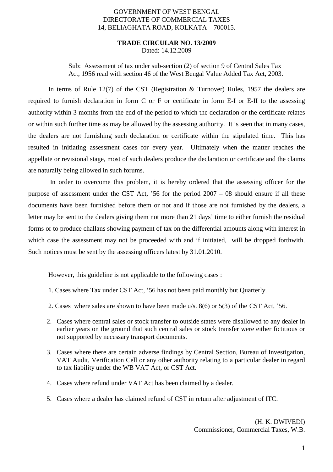### GOVERNMENT OF WEST BENGAL DIRECTORATE OF COMMERCIAL TAXES 14, BELIAGHATA ROAD, KOLKATA – 700015.

#### **TRADE CIRCULAR NO. 13/2009** Dated: 14.12.2009

# Sub: Assessment of tax under sub-section (2) of section 9 of Central Sales Tax Act, 1956 read with section 46 of the West Bengal Value Added Tax Act, 2003.

 In terms of Rule 12(7) of the CST (Registration & Turnover) Rules, 1957 the dealers are required to furnish declaration in form C or F or certificate in form E-I or E-II to the assessing authority within 3 months from the end of the period to which the declaration or the certificate relates or within such further time as may be allowed by the assessing authority. It is seen that in many cases, the dealers are not furnishing such declaration or certificate within the stipulated time. This has resulted in initiating assessment cases for every year. Ultimately when the matter reaches the appellate or revisional stage, most of such dealers produce the declaration or certificate and the claims are naturally being allowed in such forums.

 In order to overcome this problem, it is hereby ordered that the assessing officer for the purpose of assessment under the CST Act, '56 for the period 2007 – 08 should ensure if all these documents have been furnished before them or not and if those are not furnished by the dealers, a letter may be sent to the dealers giving them not more than 21 days' time to either furnish the residual forms or to produce challans showing payment of tax on the differential amounts along with interest in which case the assessment may not be proceeded with and if initiated, will be dropped forthwith. Such notices must be sent by the assessing officers latest by 31.01.2010.

However, this guideline is not applicable to the following cases :

- 1. Cases where Tax under CST Act, '56 has not been paid monthly but Quarterly.
- 2. Cases where sales are shown to have been made u/s. 8(6) or 5(3) of the CST Act, '56.
- 2. Cases where central sales or stock transfer to outside states were disallowed to any dealer in earlier years on the ground that such central sales or stock transfer were either fictitious or not supported by necessary transport documents.
- 3. Cases where there are certain adverse findings by Central Section, Bureau of Investigation, VAT Audit, Verification Cell or any other authority relating to a particular dealer in regard to tax liability under the WB VAT Act, or CST Act.
- 4. Cases where refund under VAT Act has been claimed by a dealer.
- 5. Cases where a dealer has claimed refund of CST in return after adjustment of ITC.

(H. K. DWIVEDI) Commissioner, Commercial Taxes, W.B.